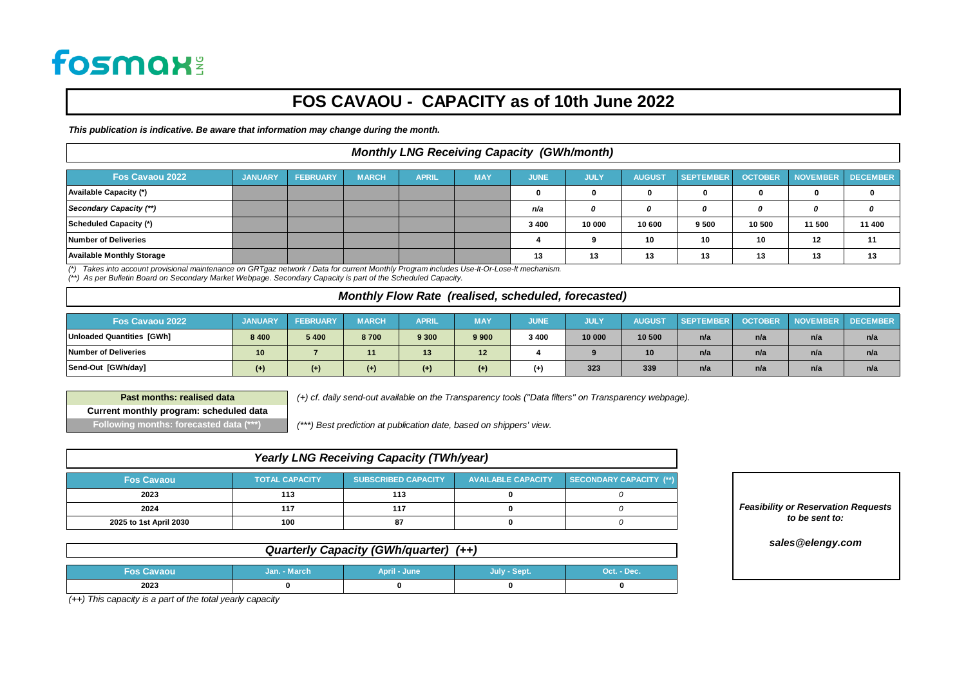# **fosmax:**

### **FOS CAVAOU - CAPACITY as of 10th June 2022**

*This publication is indicative. Be aware that information may change during the month.*

#### *Monthly LNG Receiving Capacity (GWh/month)*

| Fos Cavaou 2022                  | <b>JANUARY</b> | <b>FEBRUARY</b> | <b>MARCH</b> | <b>APRIL</b> | <b>MAY</b> | <b>JUNE</b> | <b>JULY</b> | <b>AUGUST</b> | SEPTEMBER | <b>OCTOBER</b> | <b>NOVEMBER</b> | <b>DECEMBER</b> |
|----------------------------------|----------------|-----------------|--------------|--------------|------------|-------------|-------------|---------------|-----------|----------------|-----------------|-----------------|
| <b>Available Capacity (*)</b>    |                |                 |              |              |            |             |             |               |           | ŋ              | 0               |                 |
| Secondary Capacity (**)          |                |                 |              |              |            | n/a         |             |               | 0         | 0              | n               |                 |
| Scheduled Capacity (*)           |                |                 |              |              |            | 3 4 0 0     | 10 000      | 10 600        | 9 500     | 10 500         | 11 500          | 11 400          |
| Number of Deliveries             |                |                 |              |              |            |             |             | 10            | 10        | 10             | 12              | 11              |
| <b>Available Monthly Storage</b> |                |                 |              |              |            | 13          | 13          | 13            | 13        | 13             | 13              | 13              |

(\*) Takes into account provisional maintenance on GRTgaz network / Data for current Monthly Program includes Use-It-Or-Lose-It mechanism.<br>(\*\*) As per Bulletin Board on Secondary Market Webpage. Secondary Capacity is part o

#### *Monthly Flow Rate (realised, scheduled, forecasted)*

| Fos Cavaou 2022             | <b>JANUARY</b> | <b>FEBR</b> | <b>MARCH</b> | <b>APRIL</b> | <b>MAY</b> | <b>JUNE</b> | רוטט   | AUG<br><b>JST</b> | <b>SEPTEMBER</b> | <b>OCTOBER</b> | <b>NOVEMBER</b> | <b>DECEMBER</b> |
|-----------------------------|----------------|-------------|--------------|--------------|------------|-------------|--------|-------------------|------------------|----------------|-----------------|-----------------|
| Unloaded Quantities [GWh]   | 8 4 0 0        | 5400        | 8700         | 9 3 0 0      | 9 9 0 0    | 3 4 0 0     | 10 000 | 10 500            | n/a              | n/a            | n/a             | n/a             |
| <b>Number of Deliveries</b> | 10             |             |              | 13           | 12         |             |        | 10                | n/a              | n/a            | n/a             | n/a             |
| Send-Out [GWh/day]          | $(+)$          | $(+)$       | $(+)$        | $(+)$        | $^{(+)}$   | (+          | 323    | 339               | n/a              | n/a            | n/a             | n/a             |

**Past months: realised data Current monthly program: scheduled data Following months: forecasted data (\*\*\*)**

 *(+) cf. daily send-out available on the Transparency tools ("Data filters" on Transparency webpage).*

 *(\*\*\*) Best prediction at publication date, based on shippers' view.*

| <b>Yearly LNG Receiving Capacity (TWh/year)</b>                                                                                  |     |     |  |  |  |  |  |  |  |  |
|----------------------------------------------------------------------------------------------------------------------------------|-----|-----|--|--|--|--|--|--|--|--|
| SECONDARY CAPACITY (**)<br><b>AVAILABLE CAPACITY</b><br><b>TOTAL CAPACITY</b><br><b>SUBSCRIBED CAPACITY</b><br><b>Fos Cavaou</b> |     |     |  |  |  |  |  |  |  |  |
| 2023                                                                                                                             | 113 | 113 |  |  |  |  |  |  |  |  |
| 2024                                                                                                                             | 117 | 117 |  |  |  |  |  |  |  |  |
| 2025 to 1st April 2030                                                                                                           | 100 | 87  |  |  |  |  |  |  |  |  |

*Feasibility or Reservation Requests to be sent to:*

*sales@elengy.com*

*Quarterly Capacity (GWh/quarter) (++)*

| <b>Fos Cavaou</b> | Jan. - March | April - June | July - Sept. | Oct. - Dec. |
|-------------------|--------------|--------------|--------------|-------------|
| 2023              |              |              |              |             |

*(++) This capacity is a part of the total yearly capacity*